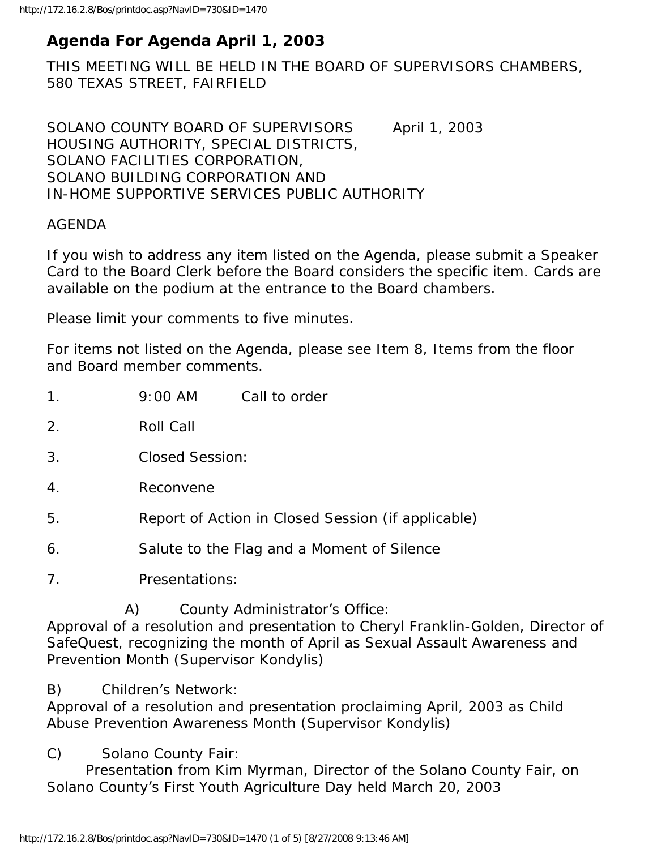# **Agenda For Agenda April 1, 2003**

THIS MEETING WILL BE HELD IN THE BOARD OF SUPERVISORS CHAMBERS, 580 TEXAS STREET, FAIRFIELD

SOLANO COUNTY BOARD OF SUPERVISORS April 1, 2003 HOUSING AUTHORITY, SPECIAL DISTRICTS, SOLANO FACILITIES CORPORATION, SOLANO BUILDING CORPORATION AND IN-HOME SUPPORTIVE SERVICES PUBLIC AUTHORITY

## AGENDA

If you wish to address any item listed on the Agenda, please submit a Speaker Card to the Board Clerk before the Board considers the specific item. Cards are available on the podium at the entrance to the Board chambers.

Please limit your comments to five minutes.

For items not listed on the Agenda, please see Item 8, Items from the floor and Board member comments.

| 1 <sub>1</sub>                                                                                                                                                                                                                                  |           | $9:00 \, \text{AM}$                                | Call to order |  |
|-------------------------------------------------------------------------------------------------------------------------------------------------------------------------------------------------------------------------------------------------|-----------|----------------------------------------------------|---------------|--|
| 2.                                                                                                                                                                                                                                              | Roll Call |                                                    |               |  |
| 3.                                                                                                                                                                                                                                              |           | <b>Closed Session:</b>                             |               |  |
| 4.                                                                                                                                                                                                                                              |           | Reconvene                                          |               |  |
| 5.                                                                                                                                                                                                                                              |           | Report of Action in Closed Session (if applicable) |               |  |
| 6.                                                                                                                                                                                                                                              |           | Salute to the Flag and a Moment of Silence         |               |  |
| 7 <sub>1</sub>                                                                                                                                                                                                                                  |           | Presentations:                                     |               |  |
| County Administrator's Office:<br>A)<br>Approval of a resolution and presentation to Cheryl Franklin-Golden, Director of<br>SafeQuest, recognizing the month of April as Sexual Assault Awareness and<br>Prevention Month (Supervisor Kondylis) |           |                                                    |               |  |

B) Children's Network:

Approval of a resolution and presentation proclaiming April, 2003 as Child Abuse Prevention Awareness Month (Supervisor Kondylis)

C) Solano County Fair:

 Presentation from Kim Myrman, Director of the Solano County Fair, on Solano County's First Youth Agriculture Day held March 20, 2003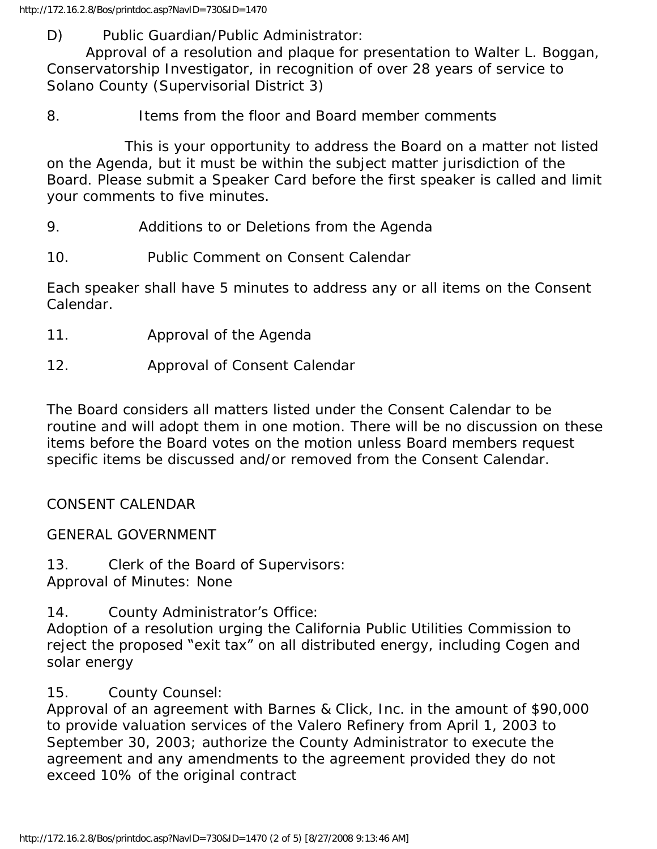D) Public Guardian/Public Administrator:

 Approval of a resolution and plaque for presentation to Walter L. Boggan, Conservatorship Investigator, in recognition of over 28 years of service to Solano County (Supervisorial District 3)

8. Items from the floor and Board member comments

 This is your opportunity to address the Board on a matter not listed on the Agenda, but it must be within the subject matter jurisdiction of the Board. Please submit a Speaker Card before the first speaker is called and limit your comments to five minutes.

- 9. Additions to or Deletions from the Agenda
- 10. Public Comment on Consent Calendar

Each speaker shall have 5 minutes to address any or all items on the Consent Calendar.

- 11. Approval of the Agenda
- 12. Approval of Consent Calendar

The Board considers all matters listed under the Consent Calendar to be routine and will adopt them in one motion. There will be no discussion on these items before the Board votes on the motion unless Board members request specific items be discussed and/or removed from the Consent Calendar.

CONSENT CALENDAR

GENERAL GOVERNMENT

13. Clerk of the Board of Supervisors: Approval of Minutes: None

14. County Administrator's Office:

Adoption of a resolution urging the California Public Utilities Commission to reject the proposed "exit tax" on all distributed energy, including Cogen and solar energy

## 15. County Counsel:

Approval of an agreement with Barnes & Click, Inc. in the amount of \$90,000 to provide valuation services of the Valero Refinery from April 1, 2003 to September 30, 2003; authorize the County Administrator to execute the agreement and any amendments to the agreement provided they do not exceed 10% of the original contract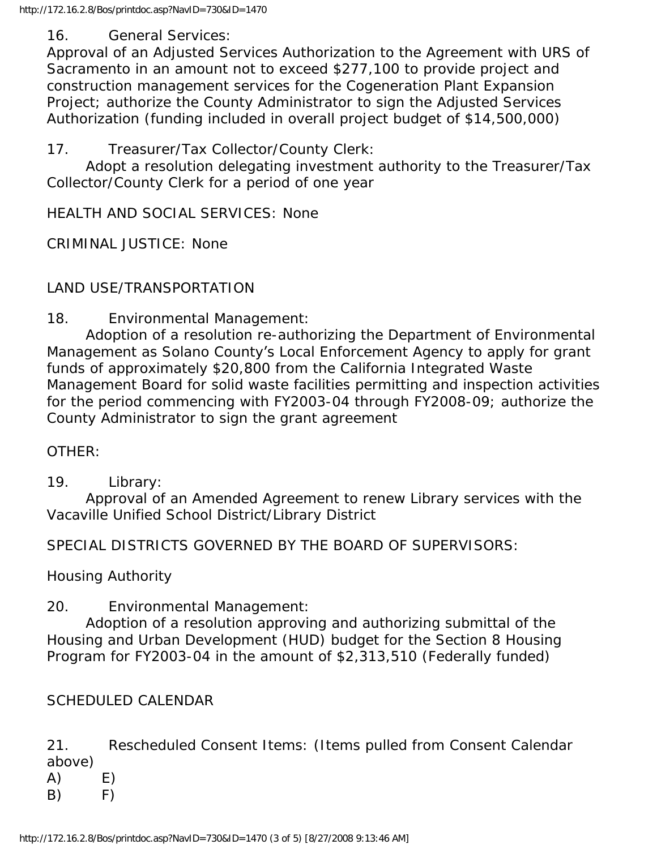## 16. General Services:

Approval of an Adjusted Services Authorization to the Agreement with URS of Sacramento in an amount not to exceed \$277,100 to provide project and construction management services for the Cogeneration Plant Expansion Project; authorize the County Administrator to sign the Adjusted Services Authorization (funding included in overall project budget of \$14,500,000)

17. Treasurer/Tax Collector/County Clerk:

 Adopt a resolution delegating investment authority to the Treasurer/Tax Collector/County Clerk for a period of one year

HEALTH AND SOCIAL SERVICES: None

CRIMINAL JUSTICE: None

LAND USE/TRANSPORTATION

18. Environmental Management:

 Adoption of a resolution re-authorizing the Department of Environmental Management as Solano County's Local Enforcement Agency to apply for grant funds of approximately \$20,800 from the California Integrated Waste Management Board for solid waste facilities permitting and inspection activities for the period commencing with FY2003-04 through FY2008-09; authorize the County Administrator to sign the grant agreement

OTHER:

19. Library:

 Approval of an Amended Agreement to renew Library services with the Vacaville Unified School District/Library District

SPECIAL DISTRICTS GOVERNED BY THE BOARD OF SUPERVISORS:

Housing Authority

20. Environmental Management:

 Adoption of a resolution approving and authorizing submittal of the Housing and Urban Development (HUD) budget for the Section 8 Housing Program for FY2003-04 in the amount of \$2,313,510 (Federally funded)

SCHEDULED CALENDAR

21. Rescheduled Consent Items: (Items pulled from Consent Calendar above)

 $(A)$   $E)$ 

 $(B)$  F)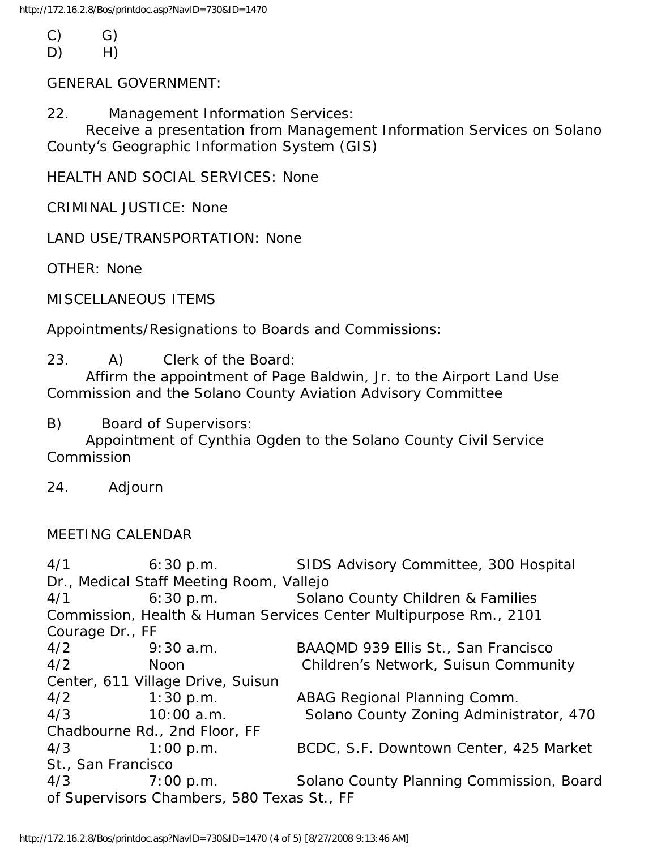- $(C)$   $G)$
- D) H)

GENERAL GOVERNMENT:

22. Management Information Services:

 Receive a presentation from Management Information Services on Solano County's Geographic Information System (GIS)

HEALTH AND SOCIAL SERVICES: None

CRIMINAL JUSTICE: None

LAND USE/TRANSPORTATION: None

OTHER: None

MISCELLANEOUS ITEMS

Appointments/Resignations to Boards and Commissions:

## 23. A) Clerk of the Board:

 Affirm the appointment of Page Baldwin, Jr. to the Airport Land Use Commission and the Solano County Aviation Advisory Committee

B) Board of Supervisors:

 Appointment of Cynthia Ogden to the Solano County Civil Service **Commission** 

24. Adjourn

## MEETING CALENDAR

4/1 6:30 p.m. SIDS Advisory Committee, 300 Hospital Dr., Medical Staff Meeting Room, Vallejo 4/1 6:30 p.m. Solano County Children & Families Commission, Health & Human Services Center Multipurpose Rm., 2101 Courage Dr., FF 4/2 9:30 a.m. BAAQMD 939 Ellis St., San Francisco 4/2 Noon Children's Network, Suisun Community Center, 611 Village Drive, Suisun 4/2 1:30 p.m. ABAG Regional Planning Comm. 4/3 10:00 a.m. Solano County Zoning Administrator, 470 Chadbourne Rd., 2nd Floor, FF 4/3 1:00 p.m. BCDC, S.F. Downtown Center, 425 Market St., San Francisco 4/3 7:00 p.m. Solano County Planning Commission, Board of Supervisors Chambers, 580 Texas St., FF